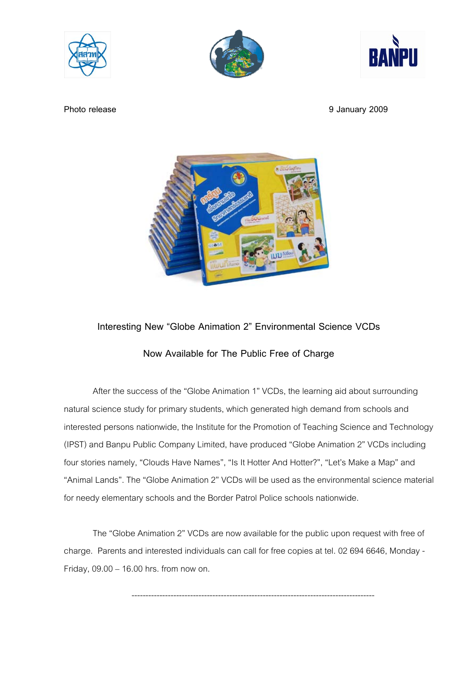





**Photo release** 9 January 2009



## **Interesting New "Globe Animation 2" Environmental Science VCDs**

## **Now Available for The Public Free of Charge**

 After the success of the "Globe Animation 1" VCDs, the learning aid about surrounding natural science study for primary students, which generated high demand from schools and interested persons nationwide, the Institute for the Promotion of Teaching Science and Technology (IPST) and Banpu Public Company Limited, have produced "Globe Animation 2" VCDs including four stories namely, "Clouds Have Names", "Is It Hotter And Hotter?", "Let's Make a Map" and "Animal Lands". The "Globe Animation 2" VCDs will be used as the environmental science material for needy elementary schools and the Border Patrol Police schools nationwide.

The "Globe Animation 2" VCDs are now available for the public upon request with free of charge. Parents and interested individuals can call for free copies at tel. 02 694 6646, Monday - Friday, 09.00 – 16.00 hrs. from now on.

---------------------------------------------------------------------------------------